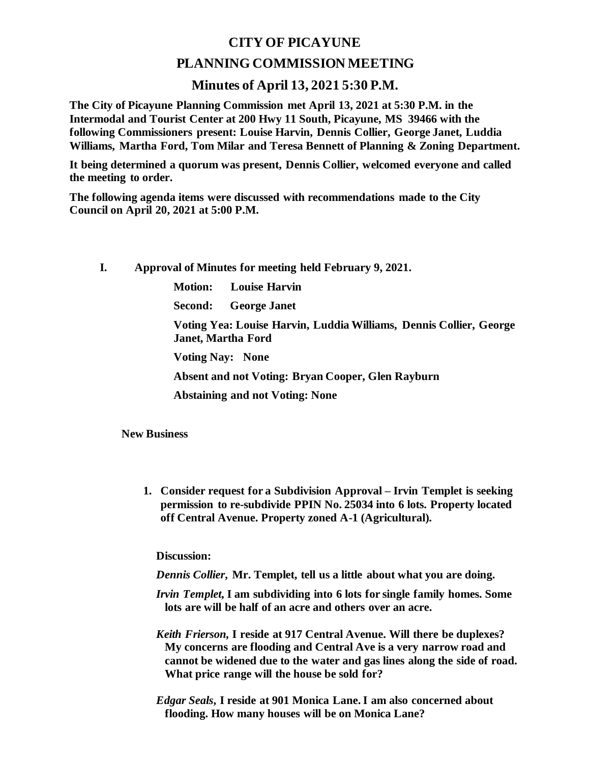## **CITY OF PICAYUNE PLANNING COMMISSION MEETING**

## **Minutes of April 13, 2021 5:30 P.M.**

**The City of Picayune Planning Commission met April 13, 2021 at 5:30 P.M. in the Intermodal and Tourist Center at 200 Hwy 11 South, Picayune, MS 39466 with the following Commissioners present: Louise Harvin, Dennis Collier, George Janet, Luddia Williams, Martha Ford, Tom Milar and Teresa Bennett of Planning & Zoning Department.**

**It being determined a quorum was present, Dennis Collier, welcomed everyone and called the meeting to order.**

**The following agenda items were discussed with recommendations made to the City Council on April 20, 2021 at 5:00 P.M.** 

**I. Approval of Minutes for meeting held February 9, 2021.**

**Motion: Louise Harvin**

**Second: George Janet**

**Voting Yea: Louise Harvin, Luddia Williams, Dennis Collier, George Janet, Martha Ford**

**Voting Nay: None**

**Absent and not Voting: Bryan Cooper, Glen Rayburn**

**Abstaining and not Voting: None**

**New Business**

**1. Consider request for a Subdivision Approval – Irvin Templet is seeking permission to re-subdivide PPIN No. 25034 into 6 lots. Property located off Central Avenue. Property zoned A-1 (Agricultural).**

**Discussion:**

*Dennis Collier***, Mr. Templet, tell us a little about what you are doing.**

- *Irvin Templet***, I am subdividing into 6 lots for single family homes. Some lots are will be half of an acre and others over an acre.**
- *Keith Frierson,* **I reside at 917 Central Avenue. Will there be duplexes? My concerns are flooding and Central Ave is a very narrow road and cannot be widened due to the water and gas lines along the side of road. What price range will the house be sold for?**
- *Edgar Seals***, I reside at 901 Monica Lane. I am also concerned about flooding. How many houses will be on Monica Lane?**